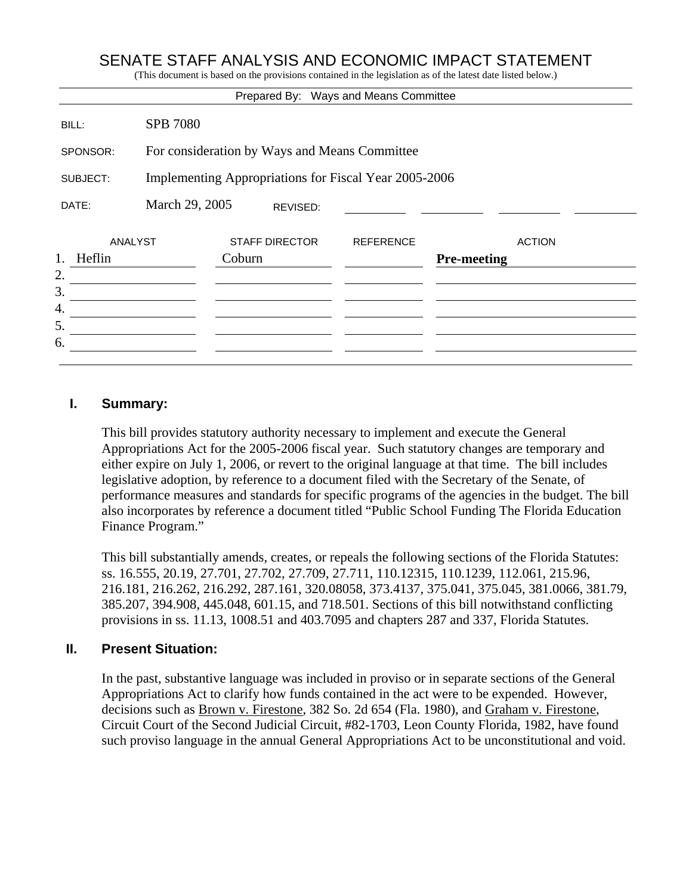# SENATE STAFF ANALYSIS AND ECONOMIC IMPACT STATEMENT

(This document is based on the provisions contained in the legislation as of the latest date listed below.)

|                    |                                                       |                                 |          | Prepared By: Ways and Means Committee |                    |               |
|--------------------|-------------------------------------------------------|---------------------------------|----------|---------------------------------------|--------------------|---------------|
| BILL:              | <b>SPB 7080</b>                                       |                                 |          |                                       |                    |               |
| SPONSOR:           | For consideration by Ways and Means Committee         |                                 |          |                                       |                    |               |
| SUBJECT:           | Implementing Appropriations for Fiscal Year 2005-2006 |                                 |          |                                       |                    |               |
| DATE:              | March 29, 2005                                        |                                 | REVISED: |                                       |                    |               |
| <b>ANALYST</b>     |                                                       | <b>STAFF DIRECTOR</b><br>Coburn |          | <b>REFERENCE</b>                      |                    | <b>ACTION</b> |
| 1.<br>Heflin<br>2. |                                                       |                                 |          |                                       | <b>Pre-meeting</b> |               |
| 3.                 |                                                       |                                 |          |                                       |                    |               |
| 4.<br>5.           |                                                       |                                 |          |                                       |                    |               |
| 6.                 |                                                       |                                 |          |                                       |                    |               |
|                    |                                                       |                                 |          |                                       |                    |               |

#### **I. Summary:**

This bill provides statutory authority necessary to implement and execute the General Appropriations Act for the 2005-2006 fiscal year. Such statutory changes are temporary and either expire on July 1, 2006, or revert to the original language at that time. The bill includes legislative adoption, by reference to a document filed with the Secretary of the Senate, of performance measures and standards for specific programs of the agencies in the budget. The bill also incorporates by reference a document titled "Public School Funding The Florida Education Finance Program."

This bill substantially amends, creates, or repeals the following sections of the Florida Statutes: ss. 16.555, 20.19, 27.701, 27.702, 27.709, 27.711, 110.12315, 110.1239, 112.061, 215.96, 216.181, 216.262, 216.292, 287.161, 320.08058, 373.4137, 375.041, 375.045, 381.0066, 381.79, 385.207, 394.908, 445.048, 601.15, and 718.501. Sections of this bill notwithstand conflicting provisions in ss. 11.13, 1008.51 and 403.7095 and chapters 287 and 337, Florida Statutes.

#### **II. Present Situation:**

In the past, substantive language was included in proviso or in separate sections of the General Appropriations Act to clarify how funds contained in the act were to be expended. However, decisions such as Brown v. Firestone, 382 So. 2d 654 (Fla. 1980), and Graham v. Firestone, Circuit Court of the Second Judicial Circuit, #82-1703, Leon County Florida, 1982, have found such proviso language in the annual General Appropriations Act to be unconstitutional and void.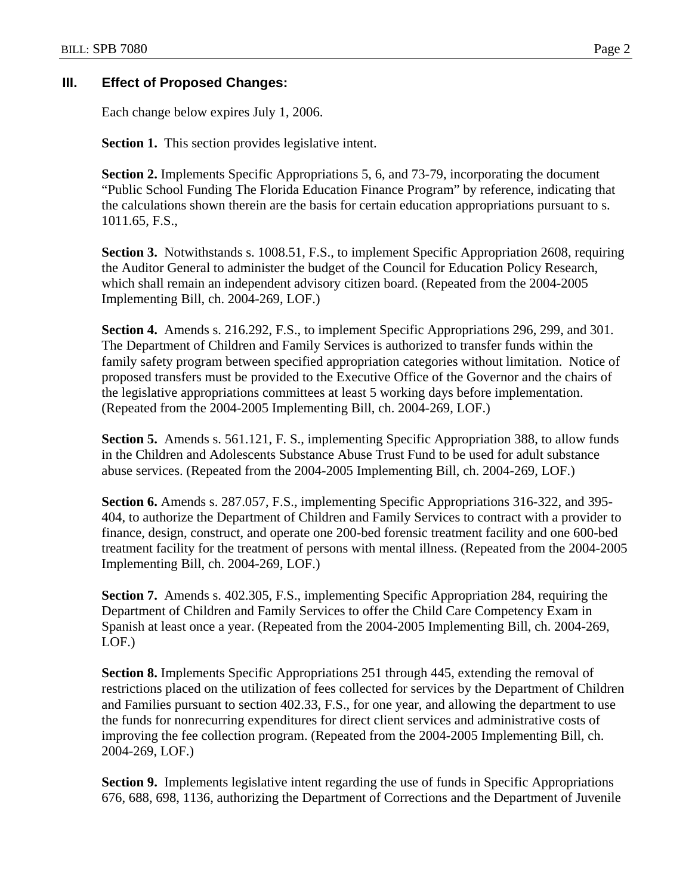## **III. Effect of Proposed Changes:**

Each change below expires July 1, 2006.

**Section 1.** This section provides legislative intent.

**Section 2.** Implements Specific Appropriations 5, 6, and 73-79, incorporating the document "Public School Funding The Florida Education Finance Program" by reference, indicating that the calculations shown therein are the basis for certain education appropriations pursuant to s. 1011.65, F.S.,

**Section 3.** Notwithstands s. 1008.51, F.S., to implement Specific Appropriation 2608, requiring the Auditor General to administer the budget of the Council for Education Policy Research, which shall remain an independent advisory citizen board. (Repeated from the 2004-2005 Implementing Bill, ch. 2004-269, LOF.)

**Section 4.** Amends s. 216.292, F.S., to implement Specific Appropriations 296, 299, and 301. The Department of Children and Family Services is authorized to transfer funds within the family safety program between specified appropriation categories without limitation. Notice of proposed transfers must be provided to the Executive Office of the Governor and the chairs of the legislative appropriations committees at least 5 working days before implementation. (Repeated from the 2004-2005 Implementing Bill, ch. 2004-269, LOF.)

**Section 5.** Amends s. 561.121, F. S., implementing Specific Appropriation 388, to allow funds in the Children and Adolescents Substance Abuse Trust Fund to be used for adult substance abuse services. (Repeated from the 2004-2005 Implementing Bill, ch. 2004-269, LOF.)

**Section 6.** Amends s. 287.057, F.S., implementing Specific Appropriations 316-322, and 395- 404, to authorize the Department of Children and Family Services to contract with a provider to finance, design, construct, and operate one 200-bed forensic treatment facility and one 600-bed treatment facility for the treatment of persons with mental illness. (Repeated from the 2004-2005 Implementing Bill, ch. 2004-269, LOF.)

**Section 7.** Amends s. 402.305, F.S., implementing Specific Appropriation 284, requiring the Department of Children and Family Services to offer the Child Care Competency Exam in Spanish at least once a year. (Repeated from the 2004-2005 Implementing Bill, ch. 2004-269, LOF.)

**Section 8.** Implements Specific Appropriations 251 through 445, extending the removal of restrictions placed on the utilization of fees collected for services by the Department of Children and Families pursuant to section 402.33, F.S., for one year, and allowing the department to use the funds for nonrecurring expenditures for direct client services and administrative costs of improving the fee collection program. (Repeated from the 2004-2005 Implementing Bill, ch. 2004-269, LOF.)

**Section 9.** Implements legislative intent regarding the use of funds in Specific Appropriations 676, 688, 698, 1136, authorizing the Department of Corrections and the Department of Juvenile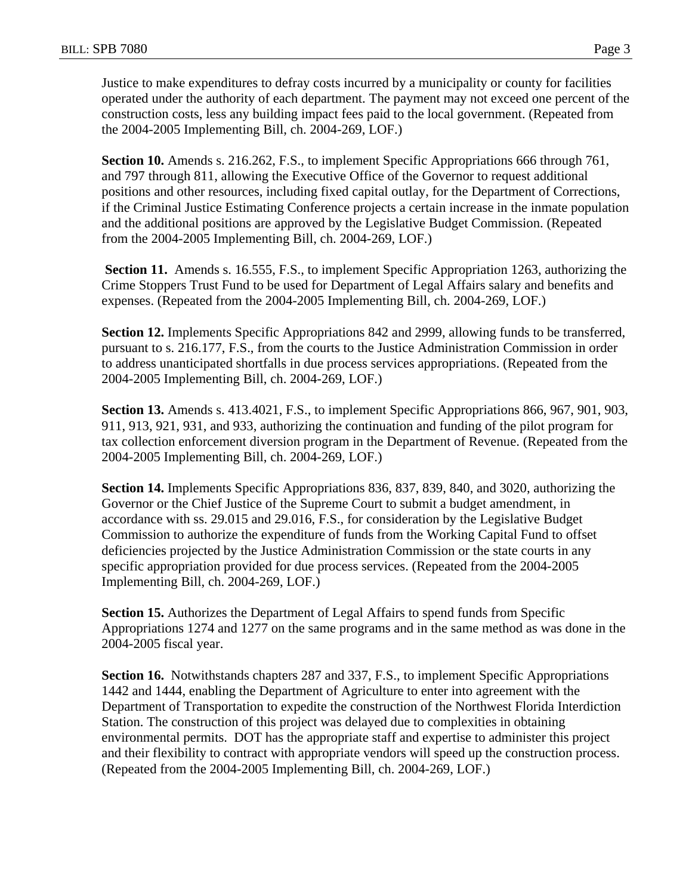Justice to make expenditures to defray costs incurred by a municipality or county for facilities operated under the authority of each department. The payment may not exceed one percent of the construction costs, less any building impact fees paid to the local government. (Repeated from the 2004-2005 Implementing Bill, ch. 2004-269, LOF.)

**Section 10.** Amends s. 216.262, F.S., to implement Specific Appropriations 666 through 761, and 797 through 811, allowing the Executive Office of the Governor to request additional positions and other resources, including fixed capital outlay, for the Department of Corrections, if the Criminal Justice Estimating Conference projects a certain increase in the inmate population and the additional positions are approved by the Legislative Budget Commission. (Repeated from the 2004-2005 Implementing Bill, ch. 2004-269, LOF.)

**Section 11.** Amends s. 16.555, F.S., to implement Specific Appropriation 1263, authorizing the Crime Stoppers Trust Fund to be used for Department of Legal Affairs salary and benefits and expenses. (Repeated from the 2004-2005 Implementing Bill, ch. 2004-269, LOF.)

**Section 12.** Implements Specific Appropriations 842 and 2999, allowing funds to be transferred, pursuant to s. 216.177, F.S., from the courts to the Justice Administration Commission in order to address unanticipated shortfalls in due process services appropriations. (Repeated from the 2004-2005 Implementing Bill, ch. 2004-269, LOF.)

**Section 13.** Amends s. 413.4021, F.S., to implement Specific Appropriations 866, 967, 901, 903, 911, 913, 921, 931, and 933, authorizing the continuation and funding of the pilot program for tax collection enforcement diversion program in the Department of Revenue. (Repeated from the 2004-2005 Implementing Bill, ch. 2004-269, LOF.)

**Section 14.** Implements Specific Appropriations 836, 837, 839, 840, and 3020, authorizing the Governor or the Chief Justice of the Supreme Court to submit a budget amendment, in accordance with ss. 29.015 and 29.016, F.S., for consideration by the Legislative Budget Commission to authorize the expenditure of funds from the Working Capital Fund to offset deficiencies projected by the Justice Administration Commission or the state courts in any specific appropriation provided for due process services. (Repeated from the 2004-2005 Implementing Bill, ch. 2004-269, LOF.)

**Section 15.** Authorizes the Department of Legal Affairs to spend funds from Specific Appropriations 1274 and 1277 on the same programs and in the same method as was done in the 2004-2005 fiscal year.

**Section 16.** Notwithstands chapters 287 and 337, F.S., to implement Specific Appropriations 1442 and 1444, enabling the Department of Agriculture to enter into agreement with the Department of Transportation to expedite the construction of the Northwest Florida Interdiction Station. The construction of this project was delayed due to complexities in obtaining environmental permits. DOT has the appropriate staff and expertise to administer this project and their flexibility to contract with appropriate vendors will speed up the construction process. (Repeated from the 2004-2005 Implementing Bill, ch. 2004-269, LOF.)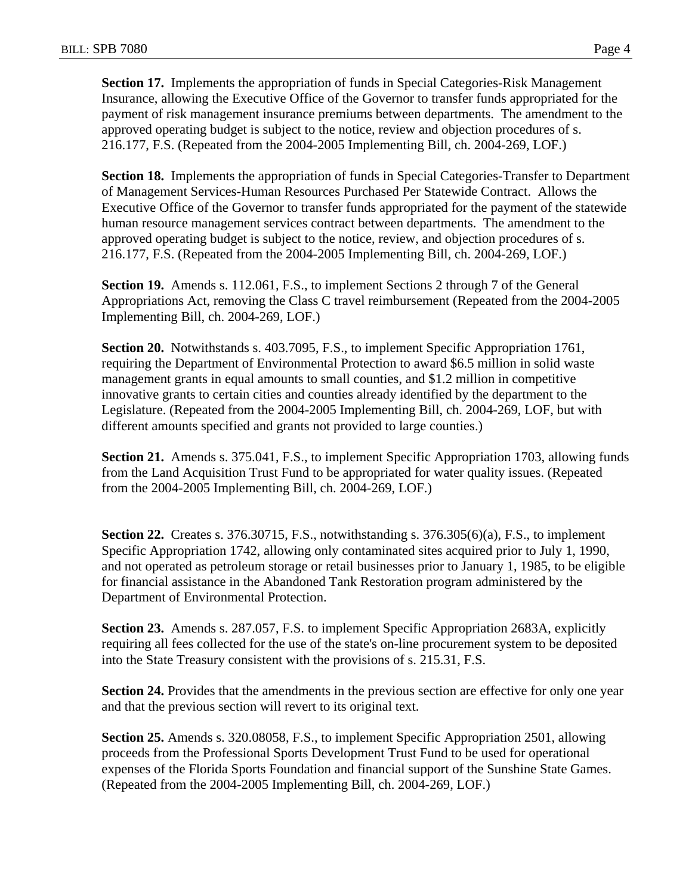**Section 17.** Implements the appropriation of funds in Special Categories-Risk Management Insurance, allowing the Executive Office of the Governor to transfer funds appropriated for the payment of risk management insurance premiums between departments. The amendment to the approved operating budget is subject to the notice, review and objection procedures of s. 216.177, F.S. (Repeated from the 2004-2005 Implementing Bill, ch. 2004-269, LOF.)

**Section 18.** Implements the appropriation of funds in Special Categories-Transfer to Department of Management Services-Human Resources Purchased Per Statewide Contract. Allows the Executive Office of the Governor to transfer funds appropriated for the payment of the statewide human resource management services contract between departments. The amendment to the approved operating budget is subject to the notice, review, and objection procedures of s. 216.177, F.S. (Repeated from the 2004-2005 Implementing Bill, ch. 2004-269, LOF.)

**Section 19.** Amends s. 112.061, F.S., to implement Sections 2 through 7 of the General Appropriations Act, removing the Class C travel reimbursement (Repeated from the 2004-2005 Implementing Bill, ch. 2004-269, LOF.)

**Section 20.** Notwithstands s. 403.7095, F.S., to implement Specific Appropriation 1761, requiring the Department of Environmental Protection to award \$6.5 million in solid waste management grants in equal amounts to small counties, and \$1.2 million in competitive innovative grants to certain cities and counties already identified by the department to the Legislature. (Repeated from the 2004-2005 Implementing Bill, ch. 2004-269, LOF, but with different amounts specified and grants not provided to large counties.)

**Section 21.** Amends s. 375.041, F.S., to implement Specific Appropriation 1703, allowing funds from the Land Acquisition Trust Fund to be appropriated for water quality issues. (Repeated from the 2004-2005 Implementing Bill, ch. 2004-269, LOF.)

**Section 22.** Creates s. 376.30715, F.S., notwithstanding s. 376.305(6)(a), F.S., to implement Specific Appropriation 1742, allowing only contaminated sites acquired prior to July 1, 1990, and not operated as petroleum storage or retail businesses prior to January 1, 1985, to be eligible for financial assistance in the Abandoned Tank Restoration program administered by the Department of Environmental Protection.

**Section 23.** Amends s. 287.057, F.S. to implement Specific Appropriation 2683A, explicitly requiring all fees collected for the use of the state's on-line procurement system to be deposited into the State Treasury consistent with the provisions of s. 215.31, F.S.

**Section 24.** Provides that the amendments in the previous section are effective for only one year and that the previous section will revert to its original text.

**Section 25.** Amends s. 320.08058, F.S., to implement Specific Appropriation 2501, allowing proceeds from the Professional Sports Development Trust Fund to be used for operational expenses of the Florida Sports Foundation and financial support of the Sunshine State Games. (Repeated from the 2004-2005 Implementing Bill, ch. 2004-269, LOF.)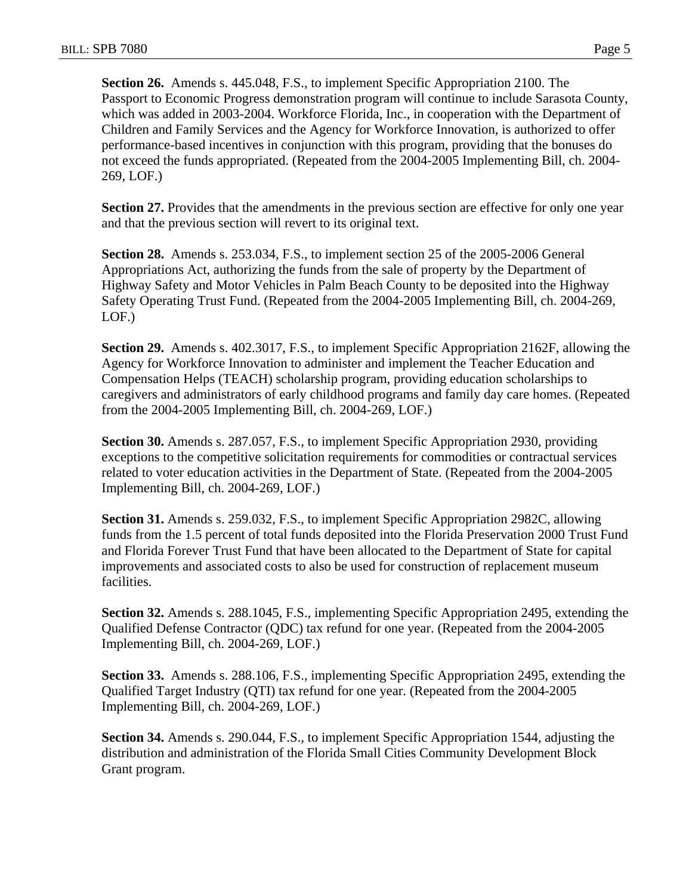**Section 26.** Amends s. 445.048, F.S., to implement Specific Appropriation 2100. The Passport to Economic Progress demonstration program will continue to include Sarasota County, which was added in 2003-2004. Workforce Florida, Inc., in cooperation with the Department of Children and Family Services and the Agency for Workforce Innovation, is authorized to offer performance-based incentives in conjunction with this program, providing that the bonuses do not exceed the funds appropriated. (Repeated from the 2004-2005 Implementing Bill, ch. 2004- 269, LOF.)

**Section 27.** Provides that the amendments in the previous section are effective for only one year and that the previous section will revert to its original text.

**Section 28.** Amends s. 253.034, F.S., to implement section 25 of the 2005-2006 General Appropriations Act, authorizing the funds from the sale of property by the Department of Highway Safety and Motor Vehicles in Palm Beach County to be deposited into the Highway Safety Operating Trust Fund. (Repeated from the 2004-2005 Implementing Bill, ch. 2004-269, LOF.)

**Section 29.** Amends s. 402.3017, F.S., to implement Specific Appropriation 2162F, allowing the Agency for Workforce Innovation to administer and implement the Teacher Education and Compensation Helps (TEACH) scholarship program, providing education scholarships to caregivers and administrators of early childhood programs and family day care homes. (Repeated from the 2004-2005 Implementing Bill, ch. 2004-269, LOF.)

**Section 30.** Amends s. 287.057, F.S., to implement Specific Appropriation 2930, providing exceptions to the competitive solicitation requirements for commodities or contractual services related to voter education activities in the Department of State. (Repeated from the 2004-2005 Implementing Bill, ch. 2004-269, LOF.)

**Section 31.** Amends s. 259.032, F.S., to implement Specific Appropriation 2982C, allowing funds from the 1.5 percent of total funds deposited into the Florida Preservation 2000 Trust Fund and Florida Forever Trust Fund that have been allocated to the Department of State for capital improvements and associated costs to also be used for construction of replacement museum facilities.

**Section 32.** Amends s. 288.1045, F.S., implementing Specific Appropriation 2495, extending the Qualified Defense Contractor (QDC) tax refund for one year. (Repeated from the 2004-2005 Implementing Bill, ch. 2004-269, LOF.)

**Section 33.** Amends s. 288.106, F.S., implementing Specific Appropriation 2495, extending the Qualified Target Industry (QTI) tax refund for one year. (Repeated from the 2004-2005 Implementing Bill, ch. 2004-269, LOF.)

**Section 34.** Amends s. 290.044, F.S., to implement Specific Appropriation 1544, adjusting the distribution and administration of the Florida Small Cities Community Development Block Grant program.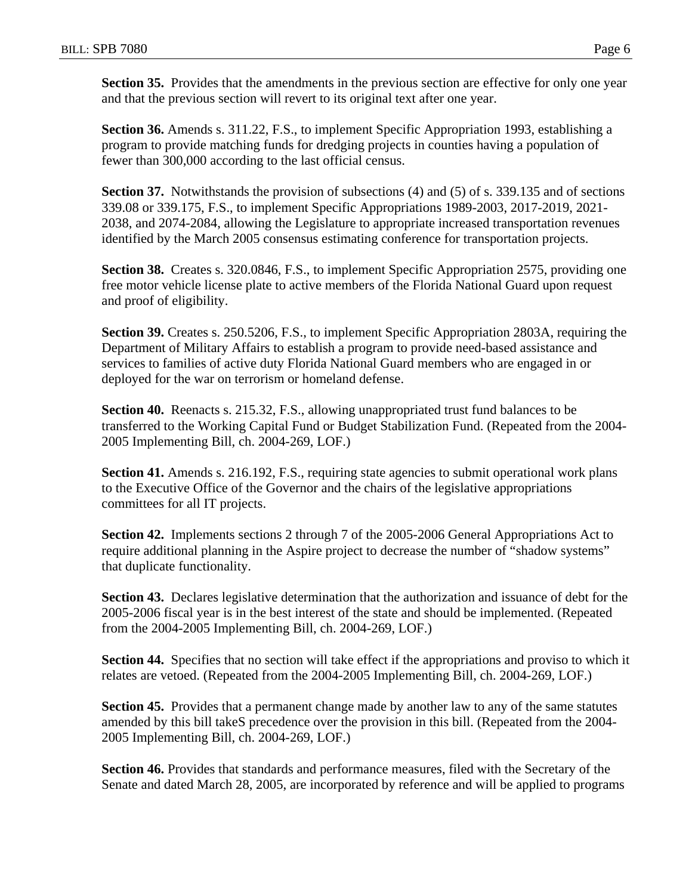**Section 35.** Provides that the amendments in the previous section are effective for only one year and that the previous section will revert to its original text after one year.

**Section 36.** Amends s. 311.22, F.S., to implement Specific Appropriation 1993, establishing a program to provide matching funds for dredging projects in counties having a population of fewer than 300,000 according to the last official census.

**Section 37.** Notwithstands the provision of subsections (4) and (5) of s. 339.135 and of sections 339.08 or 339.175, F.S., to implement Specific Appropriations 1989-2003, 2017-2019, 2021- 2038, and 2074-2084, allowing the Legislature to appropriate increased transportation revenues identified by the March 2005 consensus estimating conference for transportation projects.

**Section 38.** Creates s. 320.0846, F.S., to implement Specific Appropriation 2575, providing one free motor vehicle license plate to active members of the Florida National Guard upon request and proof of eligibility.

**Section 39.** Creates s. 250.5206, F.S., to implement Specific Appropriation 2803A, requiring the Department of Military Affairs to establish a program to provide need-based assistance and services to families of active duty Florida National Guard members who are engaged in or deployed for the war on terrorism or homeland defense.

**Section 40.** Reenacts s. 215.32, F.S., allowing unappropriated trust fund balances to be transferred to the Working Capital Fund or Budget Stabilization Fund. (Repeated from the 2004- 2005 Implementing Bill, ch. 2004-269, LOF.)

**Section 41.** Amends s. 216.192, F.S., requiring state agencies to submit operational work plans to the Executive Office of the Governor and the chairs of the legislative appropriations committees for all IT projects.

**Section 42.** Implements sections 2 through 7 of the 2005-2006 General Appropriations Act to require additional planning in the Aspire project to decrease the number of "shadow systems" that duplicate functionality.

**Section 43.** Declares legislative determination that the authorization and issuance of debt for the 2005-2006 fiscal year is in the best interest of the state and should be implemented. (Repeated from the 2004-2005 Implementing Bill, ch. 2004-269, LOF.)

**Section 44.** Specifies that no section will take effect if the appropriations and proviso to which it relates are vetoed. (Repeated from the 2004-2005 Implementing Bill, ch. 2004-269, LOF.)

**Section 45.** Provides that a permanent change made by another law to any of the same statutes amended by this bill takeS precedence over the provision in this bill. (Repeated from the 2004- 2005 Implementing Bill, ch. 2004-269, LOF.)

**Section 46.** Provides that standards and performance measures, filed with the Secretary of the Senate and dated March 28, 2005, are incorporated by reference and will be applied to programs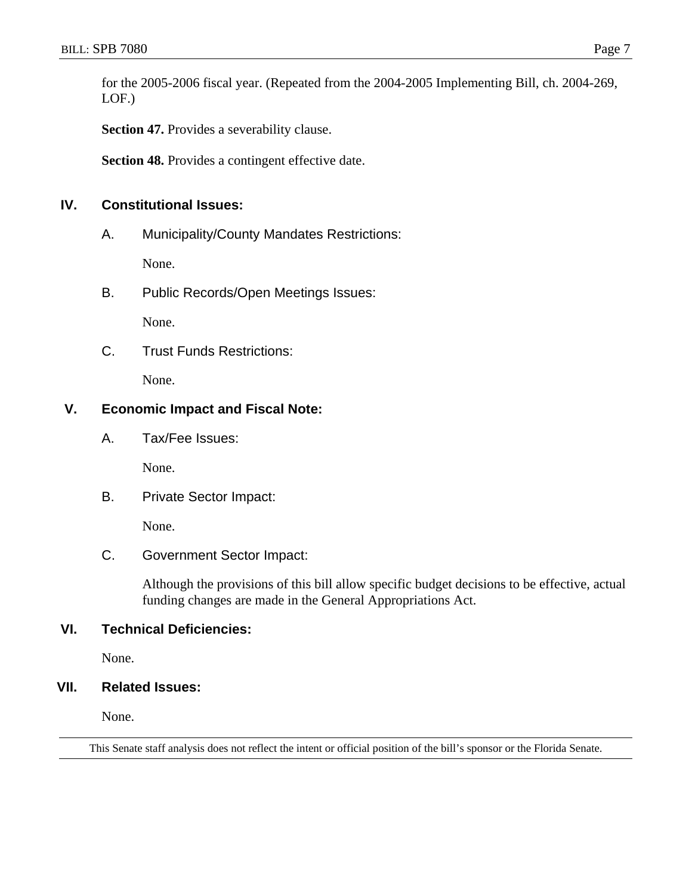for the 2005-2006 fiscal year. (Repeated from the 2004-2005 Implementing Bill, ch. 2004-269, LOF.)

**Section 47.** Provides a severability clause.

**Section 48.** Provides a contingent effective date.

### **IV. Constitutional Issues:**

A. Municipality/County Mandates Restrictions:

None.

B. Public Records/Open Meetings Issues:

None.

C. Trust Funds Restrictions:

None.

### **V. Economic Impact and Fiscal Note:**

A. Tax/Fee Issues:

None.

B. Private Sector Impact:

None.

C. Government Sector Impact:

Although the provisions of this bill allow specific budget decisions to be effective, actual funding changes are made in the General Appropriations Act.

## **VI. Technical Deficiencies:**

None.

### **VII. Related Issues:**

None.

This Senate staff analysis does not reflect the intent or official position of the bill's sponsor or the Florida Senate.